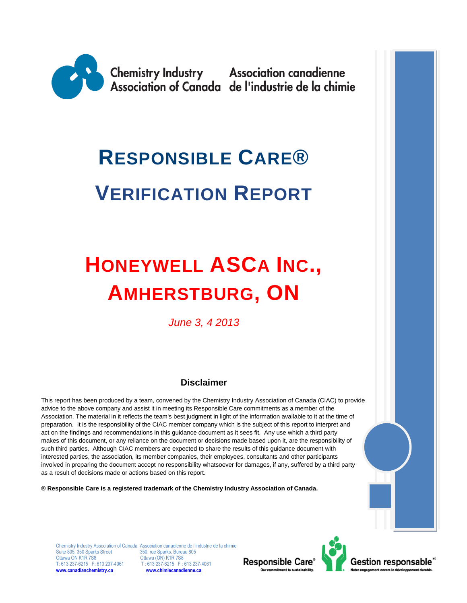

# **RESPONSIBLE CARE® VERIFICATION REPORT**

## **HONEYWELL ASCA INC., AMHERSTBURG, ON**

*June 3, 4 2013*

#### **Disclaimer**

This report has been produced by a team, convened by the Chemistry Industry Association of Canada (CIAC) to provide advice to the above company and assist it in meeting its Responsible Care commitments as a member of the Association. The material in it reflects the team's best judgment in light of the information available to it at the time of preparation. It is the responsibility of the CIAC member company which is the subject of this report to interpret and act on the findings and recommendations in this guidance document as it sees fit. Any use which a third party makes of this document, or any reliance on the document or decisions made based upon it, are the responsibility of such third parties. Although CIAC members are expected to share the results of this guidance document with interested parties, the association, its member companies, their employees, consultants and other participants involved in preparing the document accept no responsibility whatsoever for damages, if any, suffered by a third party as a result of decisions made or actions based on this report.

**® Responsible Care is a registered trademark of the Chemistry Industry Association of Canada.** 

Suite 805, 350 Sparks Street 350, rue Sparks, Bureau 805<br>Ottawa ON K1R 7S8 Chrawa (ON) K1R 7S8 Ottawa ON K1R 7S8 **Ottawa (ON) K1R 7S8**<br>T: 613 237-6215 F: 613 237-4061 T: 613 237-6215 F: 0 **[www.canadianchemistry.ca](http://www.canadianchemistry.ca/) [www.chimiecanadienne.ca](http://www.chimiecanadienne.ca/)**

Chemistry Industry Association of Canada Association canadienne de l'industrie de la chimie  $T: 613\overline{2}37-6215$  F: 613 237-4061



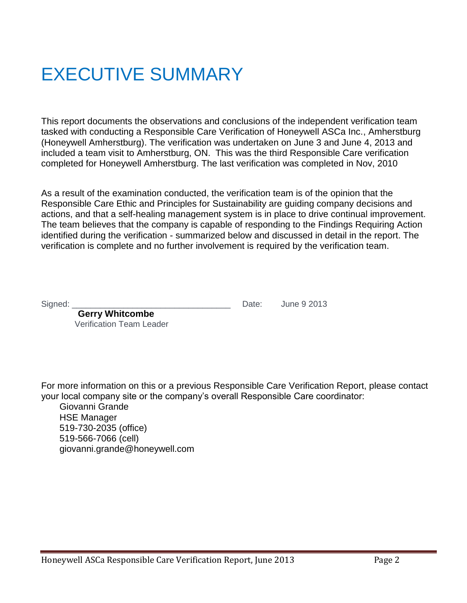## EXECUTIVE SUMMARY

This report documents the observations and conclusions of the independent verification team tasked with conducting a Responsible Care Verification of Honeywell ASCa Inc., Amherstburg (Honeywell Amherstburg). The verification was undertaken on June 3 and June 4, 2013 and included a team visit to Amherstburg, ON. This was the third Responsible Care verification completed for Honeywell Amherstburg. The last verification was completed in Nov, 2010

As a result of the examination conducted, the verification team is of the opinion that the Responsible Care Ethic and Principles for Sustainability are guiding company decisions and actions, and that a self-healing management system is in place to drive continual improvement. The team believes that the company is capable of responding to the Findings Requiring Action identified during the verification - summarized below and discussed in detail in the report. The verification is complete and no further involvement is required by the verification team.

Signed: \_\_\_\_\_\_\_\_\_\_\_\_\_\_\_\_\_\_\_\_\_\_\_\_\_\_\_\_\_\_\_\_\_\_ Date: June 9 2013

**Gerry Whitcombe** Verification Team Leader

For more information on this or a previous Responsible Care Verification Report, please contact your local company site or the company's overall Responsible Care coordinator:

Giovanni Grande HSE Manager 519-730-2035 (office) 519-566-7066 (cell) giovanni.grande@honeywell.com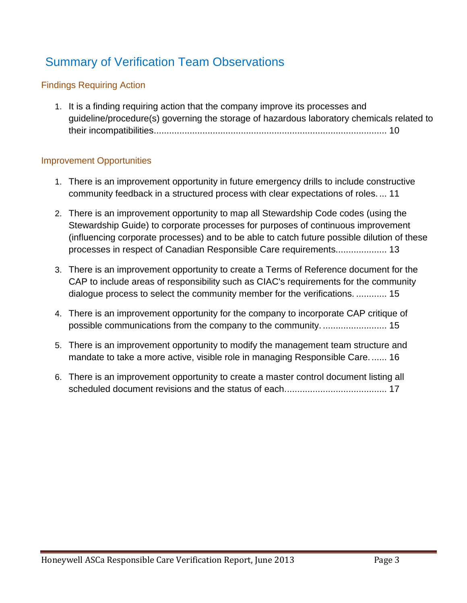## Summary of Verification Team Observations

#### Findings Requiring Action

1. [It is a finding requiring action that the company improve its processes and](#page-9-0)  [guideline/procedure\(s\) governing the storage of hazardous laboratory chemicals related to](#page-9-0)  [their incompatibilities...........................................................................................](#page-9-0) 10

#### Improvement Opportunities

- 1. There is an improvement opportunity in future emergency drills to include constructive community feedback in a structured process with clear expectations of roles. ... 11
- 2. There is an improvement opportunity to map all Stewardship Code codes (using the Stewardship Guide) to corporate processes for purposes of continuous improvement (influencing corporate processes) and to be able to catch future possible dilution of these processes in respect of Canadian Responsible Care requirements.................... 13
- 3. There is an improvement opportunity to create a Terms of Reference document for the CAP to include areas of responsibility such as CIAC's requirements for the community dialogue process to select the community member for the verifications. ............ 15
- 4. There is an improvement opportunity for the company to incorporate CAP critique of possible communications from the company to the community. ......................... 15
- 5. There is an improvement opportunity to modify the management team structure and mandate to take a more active, visible role in managing Responsible Care....... 16
- 6. There is an improvement opportunity to create a master control document listing all scheduled document revisions and the status of each........................................ 17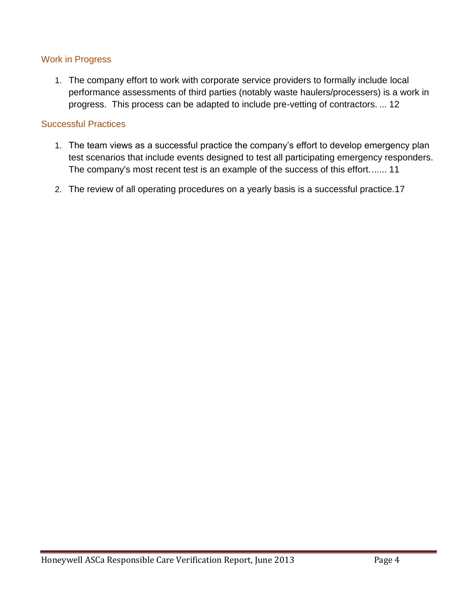#### Work in Progress

1. [The company effort to work with corporate service providers to formally include](#page-11-0) local [performance assessments of third parties \(notably waste haulers/processers\) is a work in](#page-11-0)  [progress. This process can be adapted to include pre-vetting of contractors.](#page-11-0) ... 12

#### Successful Practices

- 1. [The team views as a successful practice the company's effort to develop emergency plan](#page-10-0)  [test scenarios that include events designed to test all participating emergency responders.](#page-10-0)  [The company's most recent test is an example of the success of this effort.......](#page-10-0) 11
- 2. [The review of all operating procedures on a yearly basis is a successful practice.17](#page-16-0)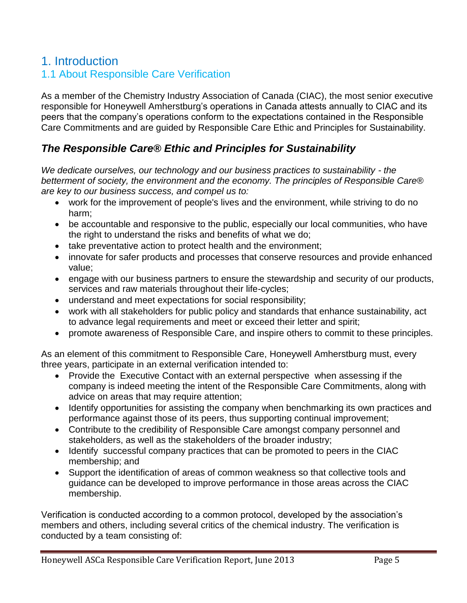## 1. Introduction

## 1.1 About Responsible Care Verification

As a member of the Chemistry Industry Association of Canada (CIAC), the most senior executive responsible for Honeywell Amherstburg's operations in Canada attests annually to CIAC and its peers that the company's operations conform to the expectations contained in the Responsible Care Commitments and are guided by Responsible Care Ethic and Principles for Sustainability.

#### *The Responsible Care® Ethic and Principles for Sustainability*

*We dedicate ourselves, our technology and our business practices to sustainability - the betterment of society, the environment and the economy. The principles of Responsible Care® are key to our business success, and compel us to:*

- work for the improvement of people's lives and the environment, while striving to do no harm;
- be accountable and responsive to the public, especially our local communities, who have the right to understand the risks and benefits of what we do;
- take preventative action to protect health and the environment;
- innovate for safer products and processes that conserve resources and provide enhanced value;
- engage with our business partners to ensure the stewardship and security of our products, services and raw materials throughout their life-cycles;
- understand and meet expectations for social responsibility;
- work with all stakeholders for public policy and standards that enhance sustainability, act to advance legal requirements and meet or exceed their letter and spirit;
- promote awareness of Responsible Care, and inspire others to commit to these principles.

As an element of this commitment to Responsible Care, Honeywell Amherstburg must, every three years, participate in an external verification intended to:

- Provide the Executive Contact with an external perspective when assessing if the company is indeed meeting the intent of the Responsible Care Commitments, along with advice on areas that may require attention;
- Identify opportunities for assisting the company when benchmarking its own practices and performance against those of its peers, thus supporting continual improvement;
- Contribute to the credibility of Responsible Care amongst company personnel and stakeholders, as well as the stakeholders of the broader industry;
- Identify successful company practices that can be promoted to peers in the CIAC membership; and
- Support the identification of areas of common weakness so that collective tools and guidance can be developed to improve performance in those areas across the CIAC membership.

Verification is conducted according to a common protocol, developed by the association's members and others, including several critics of the chemical industry. The verification is conducted by a team consisting of: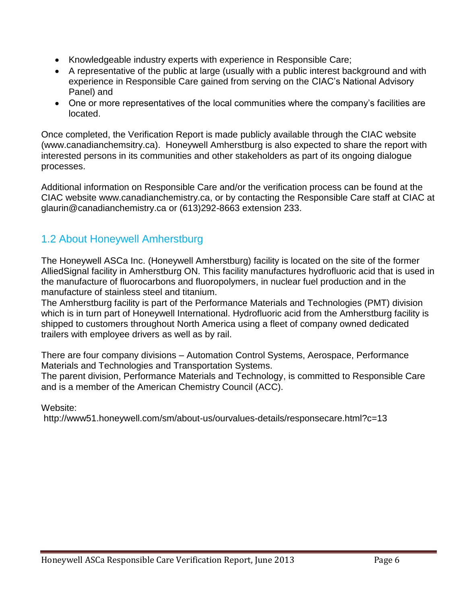- Knowledgeable industry experts with experience in Responsible Care;
- A representative of the public at large (usually with a public interest background and with experience in Responsible Care gained from serving on the CIAC's National Advisory Panel) and
- One or more representatives of the local communities where the company's facilities are located.

Once completed, the Verification Report is made publicly available through the CIAC website (www.canadianchemsitry.ca). Honeywell Amherstburg is also expected to share the report with interested persons in its communities and other stakeholders as part of its ongoing dialogue processes.

Additional information on Responsible Care and/or the verification process can be found at the CIAC website www.canadianchemistry.ca, or by contacting the Responsible Care staff at CIAC at glaurin@canadianchemistry.ca or (613)292-8663 extension 233.

## 1.2 About Honeywell Amherstburg

The Honeywell ASCa Inc. (Honeywell Amherstburg) facility is located on the site of the former AlliedSignal facility in Amherstburg ON. This facility manufactures hydrofluoric acid that is used in the manufacture of fluorocarbons and fluoropolymers, in nuclear fuel production and in the manufacture of stainless steel and titanium.

The Amherstburg facility is part of the Performance Materials and Technologies (PMT) division which is in turn part of Honeywell International. Hydrofluoric acid from the Amherstburg facility is shipped to customers throughout North America using a fleet of company owned dedicated trailers with employee drivers as well as by rail.

There are four company divisions – Automation Control Systems, Aerospace, Performance Materials and Technologies and Transportation Systems.

The parent division, Performance Materials and Technology, is committed to Responsible Care and is a member of the American Chemistry Council (ACC).

Website:

http://www51.honeywell.com/sm/about-us/ourvalues-details/responsecare.html?c=13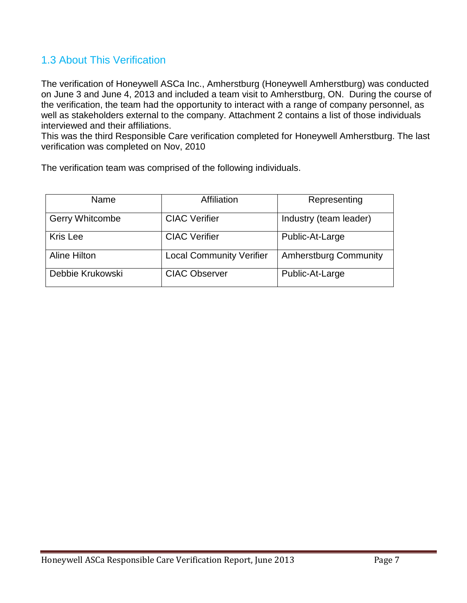## 1.3 About This Verification

The verification of Honeywell ASCa Inc., Amherstburg (Honeywell Amherstburg) was conducted on June 3 and June 4, 2013 and included a team visit to Amherstburg, ON. During the course of the verification, the team had the opportunity to interact with a range of company personnel, as well as stakeholders external to the company. Attachment 2 contains a list of those individuals interviewed and their affiliations.

This was the third Responsible Care verification completed for Honeywell Amherstburg. The last verification was completed on Nov, 2010

The verification team was comprised of the following individuals.

| Name                   | Affiliation                     | Representing                 |
|------------------------|---------------------------------|------------------------------|
| <b>Gerry Whitcombe</b> | <b>CIAC Verifier</b>            | Industry (team leader)       |
| Kris Lee               | <b>CIAC Verifier</b>            | Public-At-Large              |
| <b>Aline Hilton</b>    | <b>Local Community Verifier</b> | <b>Amherstburg Community</b> |
| Debbie Krukowski       | <b>CIAC Observer</b>            | Public-At-Large              |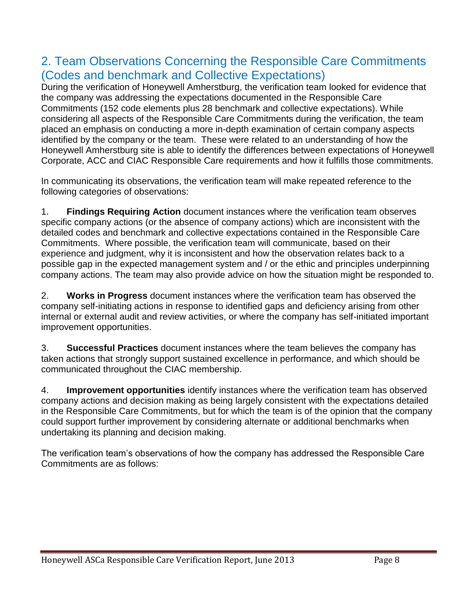## 2. Team Observations Concerning the Responsible Care Commitments (Codes and benchmark and Collective Expectations)

During the verification of Honeywell Amherstburg, the verification team looked for evidence that the company was addressing the expectations documented in the Responsible Care Commitments (152 code elements plus 28 benchmark and collective expectations). While considering all aspects of the Responsible Care Commitments during the verification, the team placed an emphasis on conducting a more in-depth examination of certain company aspects identified by the company or the team. These were related to an understanding of how the Honeywell Amherstburg site is able to identify the differences between expectations of Honeywell Corporate, ACC and CIAC Responsible Care requirements and how it fulfills those commitments.

In communicating its observations, the verification team will make repeated reference to the following categories of observations:

1. **Findings Requiring Action** document instances where the verification team observes specific company actions (or the absence of company actions) which are inconsistent with the detailed codes and benchmark and collective expectations contained in the Responsible Care Commitments. Where possible, the verification team will communicate, based on their experience and judgment, why it is inconsistent and how the observation relates back to a possible gap in the expected management system and / or the ethic and principles underpinning company actions. The team may also provide advice on how the situation might be responded to.

2. **Works in Progress** document instances where the verification team has observed the company self-initiating actions in response to identified gaps and deficiency arising from other internal or external audit and review activities, or where the company has self-initiated important improvement opportunities.

3. **Successful Practices** document instances where the team believes the company has taken actions that strongly support sustained excellence in performance, and which should be communicated throughout the CIAC membership.

4. **Improvement opportunities** identify instances where the verification team has observed company actions and decision making as being largely consistent with the expectations detailed in the Responsible Care Commitments, but for which the team is of the opinion that the company could support further improvement by considering alternate or additional benchmarks when undertaking its planning and decision making.

The verification team's observations of how the company has addressed the Responsible Care Commitments are as follows: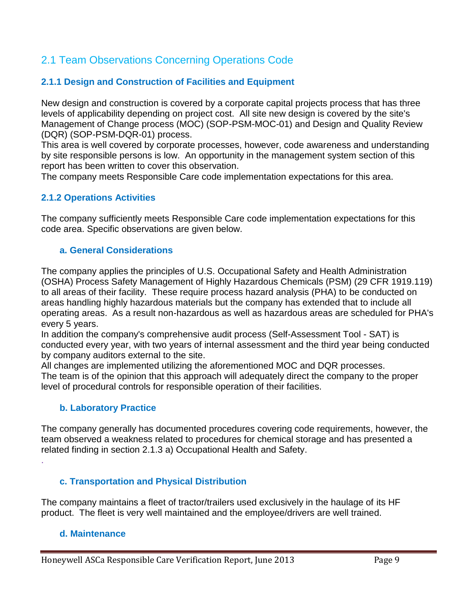## 2.1 Team Observations Concerning Operations Code

#### **2.1.1 Design and Construction of Facilities and Equipment**

New design and construction is covered by a corporate capital projects process that has three levels of applicability depending on project cost. All site new design is covered by the site's Management of Change process (MOC) (SOP-PSM-MOC-01) and Design and Quality Review (DQR) (SOP-PSM-DQR-01) process.

This area is well covered by corporate processes, however, code awareness and understanding by site responsible persons is low. An opportunity in the management system section of this report has been written to cover this observation.

The company meets Responsible Care code implementation expectations for this area.

#### **2.1.2 Operations Activities**

The company sufficiently meets Responsible Care code implementation expectations for this code area. Specific observations are given below.

#### **a. General Considerations**

The company applies the principles of U.S. Occupational Safety and Health Administration (OSHA) Process Safety Management of Highly Hazardous Chemicals (PSM) (29 CFR 1919.119) to all areas of their facility. These require process hazard analysis (PHA) to be conducted on areas handling highly hazardous materials but the company has extended that to include all operating areas. As a result non-hazardous as well as hazardous areas are scheduled for PHA's every 5 years.

In addition the company's comprehensive audit process (Self-Assessment Tool - SAT) is conducted every year, with two years of internal assessment and the third year being conducted by company auditors external to the site.

All changes are implemented utilizing the aforementioned MOC and DQR processes. The team is of the opinion that this approach will adequately direct the company to the proper level of procedural controls for responsible operation of their facilities.

#### **b. Laboratory Practice**

The company generally has documented procedures covering code requirements, however, the team observed a weakness related to procedures for chemical storage and has presented a related finding in section 2.1.3 a) Occupational Health and Safety.

#### **c. Transportation and Physical Distribution**

The company maintains a fleet of tractor/trailers used exclusively in the haulage of its HF product. The fleet is very well maintained and the employee/drivers are well trained.

#### **d. Maintenance**

.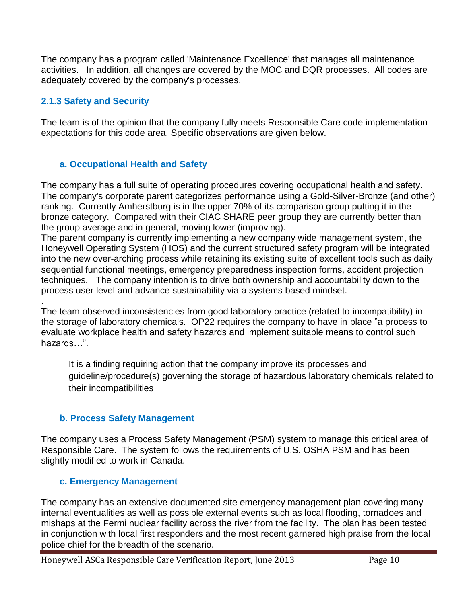The company has a program called 'Maintenance Excellence' that manages all maintenance activities. In addition, all changes are covered by the MOC and DQR processes. All codes are adequately covered by the company's processes.

#### **2.1.3 Safety and Security**

.

The team is of the opinion that the company fully meets Responsible Care code implementation expectations for this code area. Specific observations are given below.

#### **a. Occupational Health and Safety**

The company has a full suite of operating procedures covering occupational health and safety. The company's corporate parent categorizes performance using a Gold-Silver-Bronze (and other) ranking. Currently Amherstburg is in the upper 70% of its comparison group putting it in the bronze category. Compared with their CIAC SHARE peer group they are currently better than the group average and in general, moving lower (improving).

The parent company is currently implementing a new company wide management system, the Honeywell Operating System (HOS) and the current structured safety program will be integrated into the new over-arching process while retaining its existing suite of excellent tools such as daily sequential functional meetings, emergency preparedness inspection forms, accident projection techniques. The company intention is to drive both ownership and accountability down to the process user level and advance sustainability via a systems based mindset.

The team observed inconsistencies from good laboratory practice (related to incompatibility) in the storage of laboratory chemicals. OP22 requires the company to have in place "a process to evaluate workplace health and safety hazards and implement suitable means to control such hazards…".

<span id="page-9-0"></span>It is a finding requiring action that the company improve its processes and guideline/procedure(s) governing the storage of hazardous laboratory chemicals related to their incompatibilities

#### **b. Process Safety Management**

The company uses a Process Safety Management (PSM) system to manage this critical area of Responsible Care. The system follows the requirements of U.S. OSHA PSM and has been slightly modified to work in Canada.

#### **c. Emergency Management**

The company has an extensive documented site emergency management plan covering many internal eventualities as well as possible external events such as local flooding, tornadoes and mishaps at the Fermi nuclear facility across the river from the facility. The plan has been tested in conjunction with local first responders and the most recent garnered high praise from the local police chief for the breadth of the scenario.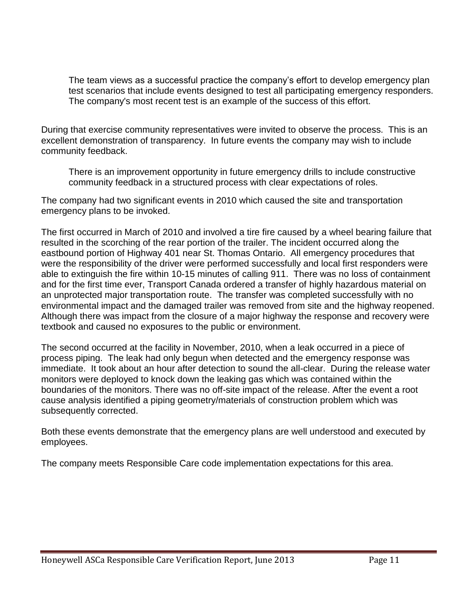<span id="page-10-0"></span>The team views as a successful practice the company's effort to develop emergency plan test scenarios that include events designed to test all participating emergency responders. The company's most recent test is an example of the success of this effort.

During that exercise community representatives were invited to observe the process. This is an excellent demonstration of transparency. In future events the company may wish to include community feedback.

There is an improvement opportunity in future emergency drills to include constructive community feedback in a structured process with clear expectations of roles.

The company had two significant events in 2010 which caused the site and transportation emergency plans to be invoked.

The first occurred in March of 2010 and involved a tire fire caused by a wheel bearing failure that resulted in the scorching of the rear portion of the trailer. The incident occurred along the eastbound portion of Highway 401 near St. Thomas Ontario. All emergency procedures that were the responsibility of the driver were performed successfully and local first responders were able to extinguish the fire within 10-15 minutes of calling 911. There was no loss of containment and for the first time ever, Transport Canada ordered a transfer of highly hazardous material on an unprotected major transportation route. The transfer was completed successfully with no environmental impact and the damaged trailer was removed from site and the highway reopened. Although there was impact from the closure of a major highway the response and recovery were textbook and caused no exposures to the public or environment.

The second occurred at the facility in November, 2010, when a leak occurred in a piece of process piping. The leak had only begun when detected and the emergency response was immediate. It took about an hour after detection to sound the all-clear. During the release water monitors were deployed to knock down the leaking gas which was contained within the boundaries of the monitors. There was no off-site impact of the release. After the event a root cause analysis identified a piping geometry/materials of construction problem which was subsequently corrected.

Both these events demonstrate that the emergency plans are well understood and executed by employees.

The company meets Responsible Care code implementation expectations for this area.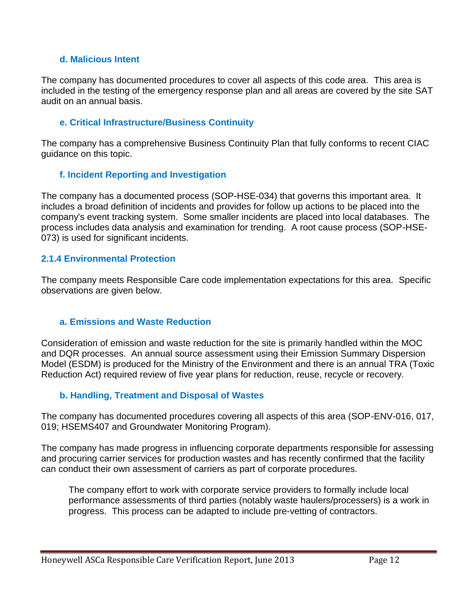#### **d. Malicious Intent**

The company has documented procedures to cover all aspects of this code area. This area is included in the testing of the emergency response plan and all areas are covered by the site SAT audit on an annual basis.

#### **e. Critical Infrastructure/Business Continuity**

The company has a comprehensive Business Continuity Plan that fully conforms to recent CIAC guidance on this topic.

#### **f. Incident Reporting and Investigation**

The company has a documented process (SOP-HSE-034) that governs this important area. It includes a broad definition of incidents and provides for follow up actions to be placed into the company's event tracking system. Some smaller incidents are placed into local databases. The process includes data analysis and examination for trending. A root cause process (SOP-HSE-073) is used for significant incidents.

#### **2.1.4 Environmental Protection**

The company meets Responsible Care code implementation expectations for this area. Specific observations are given below.

#### **a. Emissions and Waste Reduction**

Consideration of emission and waste reduction for the site is primarily handled within the MOC and DQR processes. An annual source assessment using their Emission Summary Dispersion Model (ESDM) is produced for the Ministry of the Environment and there is an annual TRA (Toxic Reduction Act) required review of five year plans for reduction, reuse, recycle or recovery.

#### **b. Handling, Treatment and Disposal of Wastes**

The company has documented procedures covering all aspects of this area (SOP-ENV-016, 017, 019; HSEMS407 and Groundwater Monitoring Program).

The company has made progress in influencing corporate departments responsible for assessing and procuring carrier services for production wastes and has recently confirmed that the facility can conduct their own assessment of carriers as part of corporate procedures.

<span id="page-11-0"></span>The company effort to work with corporate service providers to formally include local performance assessments of third parties (notably waste haulers/processers) is a work in progress. This process can be adapted to include pre-vetting of contractors.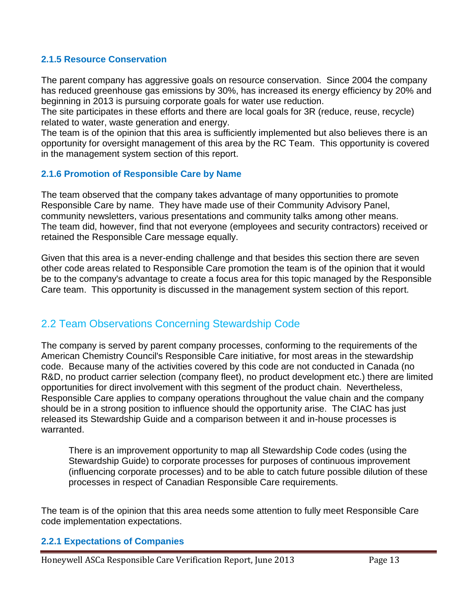#### **2.1.5 Resource Conservation**

The parent company has aggressive goals on resource conservation. Since 2004 the company has reduced greenhouse gas emissions by 30%, has increased its energy efficiency by 20% and beginning in 2013 is pursuing corporate goals for water use reduction.

The site participates in these efforts and there are local goals for 3R (reduce, reuse, recycle) related to water, waste generation and energy.

The team is of the opinion that this area is sufficiently implemented but also believes there is an opportunity for oversight management of this area by the RC Team. This opportunity is covered in the management system section of this report.

#### **2.1.6 Promotion of Responsible Care by Name**

The team observed that the company takes advantage of many opportunities to promote Responsible Care by name. They have made use of their Community Advisory Panel, community newsletters, various presentations and community talks among other means. The team did, however, find that not everyone (employees and security contractors) received or retained the Responsible Care message equally.

Given that this area is a never-ending challenge and that besides this section there are seven other code areas related to Responsible Care promotion the team is of the opinion that it would be to the company's advantage to create a focus area for this topic managed by the Responsible Care team. This opportunity is discussed in the management system section of this report.

## 2.2 Team Observations Concerning Stewardship Code

The company is served by parent company processes, conforming to the requirements of the American Chemistry Council's Responsible Care initiative, for most areas in the stewardship code. Because many of the activities covered by this code are not conducted in Canada (no R&D, no product carrier selection (company fleet), no product development etc.) there are limited opportunities for direct involvement with this segment of the product chain. Nevertheless, Responsible Care applies to company operations throughout the value chain and the company should be in a strong position to influence should the opportunity arise. The CIAC has just released its Stewardship Guide and a comparison between it and in-house processes is warranted.

There is an improvement opportunity to map all Stewardship Code codes (using the Stewardship Guide) to corporate processes for purposes of continuous improvement (influencing corporate processes) and to be able to catch future possible dilution of these processes in respect of Canadian Responsible Care requirements.

The team is of the opinion that this area needs some attention to fully meet Responsible Care code implementation expectations.

#### **2.2.1 Expectations of Companies**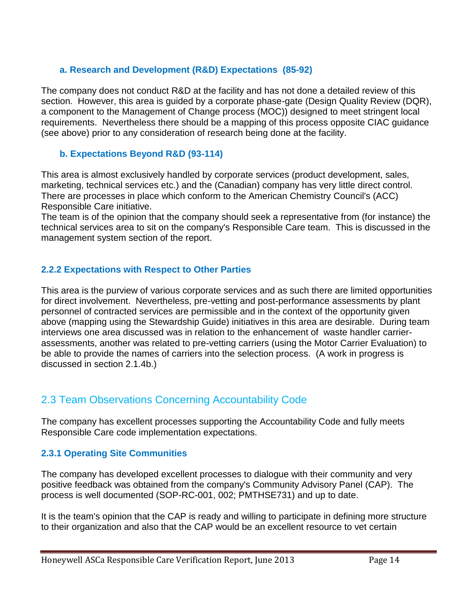#### **a. Research and Development (R&D) Expectations (85-92)**

The company does not conduct R&D at the facility and has not done a detailed review of this section. However, this area is guided by a corporate phase-gate (Design Quality Review (DQR), a component to the Management of Change process (MOC)) designed to meet stringent local requirements. Nevertheless there should be a mapping of this process opposite CIAC guidance (see above) prior to any consideration of research being done at the facility.

#### **b. Expectations Beyond R&D (93-114)**

This area is almost exclusively handled by corporate services (product development, sales, marketing, technical services etc.) and the (Canadian) company has very little direct control. There are processes in place which conform to the American Chemistry Council's (ACC) Responsible Care initiative.

The team is of the opinion that the company should seek a representative from (for instance) the technical services area to sit on the company's Responsible Care team. This is discussed in the management system section of the report.

#### **2.2.2 Expectations with Respect to Other Parties**

This area is the purview of various corporate services and as such there are limited opportunities for direct involvement. Nevertheless, pre-vetting and post-performance assessments by plant personnel of contracted services are permissible and in the context of the opportunity given above (mapping using the Stewardship Guide) initiatives in this area are desirable. During team interviews one area discussed was in relation to the enhancement of waste handler carrierassessments, another was related to pre-vetting carriers (using the Motor Carrier Evaluation) to be able to provide the names of carriers into the selection process. (A work in progress is discussed in section 2.1.4b.)

## 2.3 Team Observations Concerning Accountability Code

The company has excellent processes supporting the Accountability Code and fully meets Responsible Care code implementation expectations.

#### **2.3.1 Operating Site Communities**

The company has developed excellent processes to dialogue with their community and very positive feedback was obtained from the company's Community Advisory Panel (CAP). The process is well documented (SOP-RC-001, 002; PMTHSE731) and up to date.

It is the team's opinion that the CAP is ready and willing to participate in defining more structure to their organization and also that the CAP would be an excellent resource to vet certain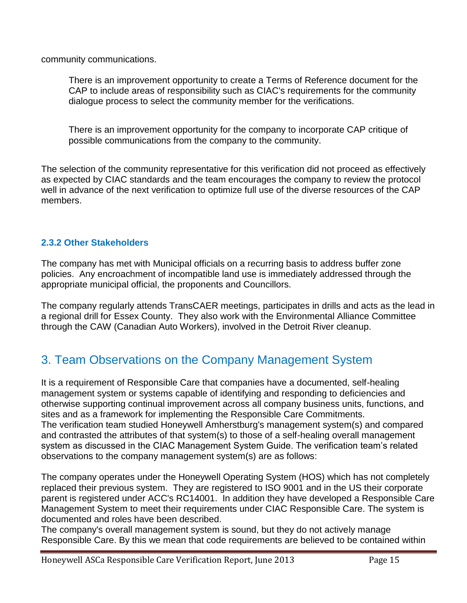community communications.

There is an improvement opportunity to create a Terms of Reference document for the CAP to include areas of responsibility such as CIAC's requirements for the community dialogue process to select the community member for the verifications.

There is an improvement opportunity for the company to incorporate CAP critique of possible communications from the company to the community.

The selection of the community representative for this verification did not proceed as effectively as expected by CIAC standards and the team encourages the company to review the protocol well in advance of the next verification to optimize full use of the diverse resources of the CAP members.

#### **2.3.2 Other Stakeholders**

The company has met with Municipal officials on a recurring basis to address buffer zone policies. Any encroachment of incompatible land use is immediately addressed through the appropriate municipal official, the proponents and Councillors.

The company regularly attends TransCAER meetings, participates in drills and acts as the lead in a regional drill for Essex County. They also work with the Environmental Alliance Committee through the CAW (Canadian Auto Workers), involved in the Detroit River cleanup.

## 3. Team Observations on the Company Management System

It is a requirement of Responsible Care that companies have a documented, self-healing management system or systems capable of identifying and responding to deficiencies and otherwise supporting continual improvement across all company business units, functions, and sites and as a framework for implementing the Responsible Care Commitments. The verification team studied Honeywell Amherstburg's management system(s) and compared and contrasted the attributes of that system(s) to those of a self-healing overall management system as discussed in the CIAC Management System Guide. The verification team's related observations to the company management system(s) are as follows:

The company operates under the Honeywell Operating System (HOS) which has not completely replaced their previous system. They are registered to ISO 9001 and in the US their corporate parent is registered under ACC's RC14001. In addition they have developed a Responsible Care Management System to meet their requirements under CIAC Responsible Care. The system is documented and roles have been described.

The company's overall management system is sound, but they do not actively manage Responsible Care. By this we mean that code requirements are believed to be contained within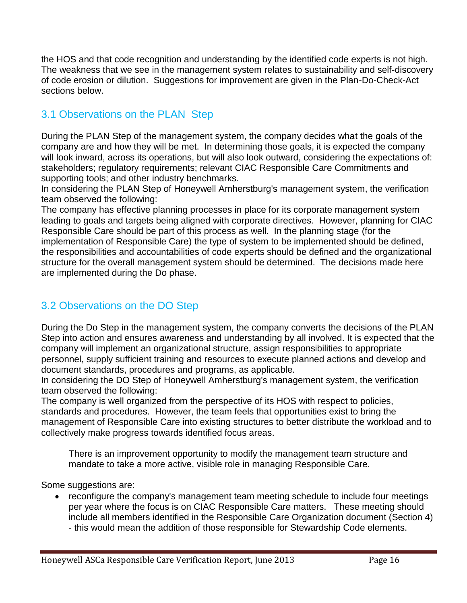the HOS and that code recognition and understanding by the identified code experts is not high. The weakness that we see in the management system relates to sustainability and self-discovery of code erosion or dilution. Suggestions for improvement are given in the Plan-Do-Check-Act sections below.

## 3.1 Observations on the PLAN Step

During the PLAN Step of the management system, the company decides what the goals of the company are and how they will be met. In determining those goals, it is expected the company will look inward, across its operations, but will also look outward, considering the expectations of: stakeholders; regulatory requirements; relevant CIAC Responsible Care Commitments and supporting tools; and other industry benchmarks.

In considering the PLAN Step of Honeywell Amherstburg's management system, the verification team observed the following:

The company has effective planning processes in place for its corporate management system leading to goals and targets being aligned with corporate directives. However, planning for CIAC Responsible Care should be part of this process as well. In the planning stage (for the implementation of Responsible Care) the type of system to be implemented should be defined, the responsibilities and accountabilities of code experts should be defined and the organizational structure for the overall management system should be determined. The decisions made here are implemented during the Do phase.

## 3.2 Observations on the DO Step

During the Do Step in the management system, the company converts the decisions of the PLAN Step into action and ensures awareness and understanding by all involved. It is expected that the company will implement an organizational structure, assign responsibilities to appropriate personnel, supply sufficient training and resources to execute planned actions and develop and document standards, procedures and programs, as applicable.

In considering the DO Step of Honeywell Amherstburg's management system, the verification team observed the following:

The company is well organized from the perspective of its HOS with respect to policies, standards and procedures. However, the team feels that opportunities exist to bring the management of Responsible Care into existing structures to better distribute the workload and to collectively make progress towards identified focus areas.

There is an improvement opportunity to modify the management team structure and mandate to take a more active, visible role in managing Responsible Care.

Some suggestions are:

 reconfigure the company's management team meeting schedule to include four meetings per year where the focus is on CIAC Responsible Care matters. These meeting should include all members identified in the Responsible Care Organization document (Section 4) - this would mean the addition of those responsible for Stewardship Code elements.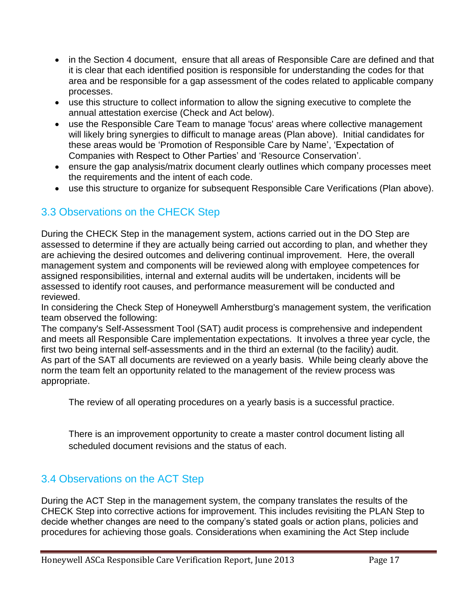- in the Section 4 document, ensure that all areas of Responsible Care are defined and that it is clear that each identified position is responsible for understanding the codes for that area and be responsible for a gap assessment of the codes related to applicable company processes.
- use this structure to collect information to allow the signing executive to complete the annual attestation exercise (Check and Act below).
- use the Responsible Care Team to manage 'focus' areas where collective management will likely bring synergies to difficult to manage areas (Plan above). Initial candidates for these areas would be 'Promotion of Responsible Care by Name', 'Expectation of Companies with Respect to Other Parties' and 'Resource Conservation'.
- ensure the gap analysis/matrix document clearly outlines which company processes meet the requirements and the intent of each code.
- use this structure to organize for subsequent Responsible Care Verifications (Plan above).

## 3.3 Observations on the CHECK Step

During the CHECK Step in the management system, actions carried out in the DO Step are assessed to determine if they are actually being carried out according to plan, and whether they are achieving the desired outcomes and delivering continual improvement. Here, the overall management system and components will be reviewed along with employee competences for assigned responsibilities, internal and external audits will be undertaken, incidents will be assessed to identify root causes, and performance measurement will be conducted and reviewed.

In considering the Check Step of Honeywell Amherstburg's management system, the verification team observed the following:

The company's Self-Assessment Tool (SAT) audit process is comprehensive and independent and meets all Responsible Care implementation expectations. It involves a three year cycle, the first two being internal self-assessments and in the third an external (to the facility) audit. As part of the SAT all documents are reviewed on a yearly basis. While being clearly above the norm the team felt an opportunity related to the management of the review process was appropriate.

<span id="page-16-0"></span>The review of all operating procedures on a yearly basis is a successful practice.

There is an improvement opportunity to create a master control document listing all scheduled document revisions and the status of each.

#### 3.4 Observations on the ACT Step

During the ACT Step in the management system, the company translates the results of the CHECK Step into corrective actions for improvement. This includes revisiting the PLAN Step to decide whether changes are need to the company's stated goals or action plans, policies and procedures for achieving those goals. Considerations when examining the Act Step include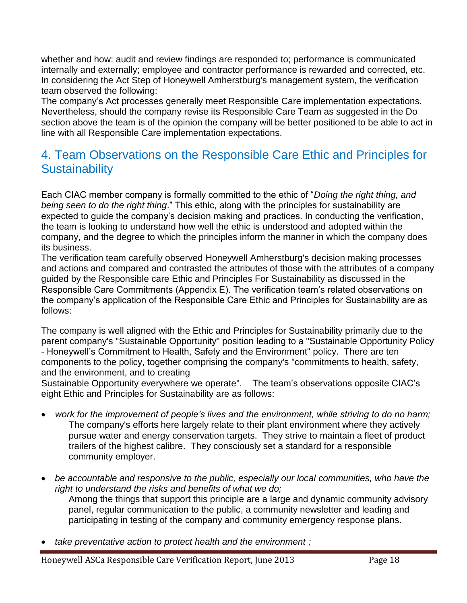whether and how: audit and review findings are responded to; performance is communicated internally and externally; employee and contractor performance is rewarded and corrected, etc. In considering the Act Step of Honeywell Amherstburg's management system, the verification team observed the following:

The company's Act processes generally meet Responsible Care implementation expectations. Nevertheless, should the company revise its Responsible Care Team as suggested in the Do section above the team is of the opinion the company will be better positioned to be able to act in line with all Responsible Care implementation expectations.

## 4. Team Observations on the Responsible Care Ethic and Principles for **Sustainability**

Each CIAC member company is formally committed to the ethic of "*Doing the right thing, and being seen to do the right thing*." This ethic, along with the principles for sustainability are expected to guide the company's decision making and practices. In conducting the verification, the team is looking to understand how well the ethic is understood and adopted within the company, and the degree to which the principles inform the manner in which the company does its business.

The verification team carefully observed Honeywell Amherstburg's decision making processes and actions and compared and contrasted the attributes of those with the attributes of a company guided by the Responsible care Ethic and Principles For Sustainability as discussed in the Responsible Care Commitments (Appendix E). The verification team's related observations on the company's application of the Responsible Care Ethic and Principles for Sustainability are as follows:

The company is well aligned with the Ethic and Principles for Sustainability primarily due to the parent company's "Sustainable Opportunity" position leading to a "Sustainable Opportunity Policy - Honeywell's Commitment to Health, Safety and the Environment" policy. There are ten components to the policy, together comprising the company's "commitments to health, safety, and the environment, and to creating

Sustainable Opportunity everywhere we operate". The team's observations opposite CIAC's eight Ethic and Principles for Sustainability are as follows:

- *work for the improvement of people's lives and the environment, while striving to do no harm;* The company's efforts here largely relate to their plant environment where they actively pursue water and energy conservation targets. They strive to maintain a fleet of product trailers of the highest calibre. They consciously set a standard for a responsible community employer.
- *be accountable and responsive to the public, especially our local communities, who have the right to understand the risks and benefits of what we do;*

Among the things that support this principle are a large and dynamic community advisory panel, regular communication to the public, a community newsletter and leading and participating in testing of the company and community emergency response plans.

*take preventative action to protect health and the environment ;*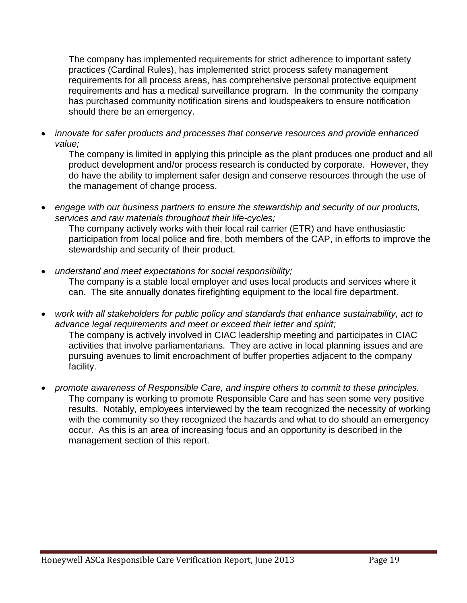The company has implemented requirements for strict adherence to important safety practices (Cardinal Rules), has implemented strict process safety management requirements for all process areas, has comprehensive personal protective equipment requirements and has a medical surveillance program. In the community the company has purchased community notification sirens and loudspeakers to ensure notification should there be an emergency.

 *innovate for safer products and processes that conserve resources and provide enhanced value;*

The company is limited in applying this principle as the plant produces one product and all product development and/or process research is conducted by corporate. However, they do have the ability to implement safer design and conserve resources through the use of the management of change process.

 *engage with our business partners to ensure the stewardship and security of our products, services and raw materials throughout their life-cycles;*

The company actively works with their local rail carrier (ETR) and have enthusiastic participation from local police and fire, both members of the CAP, in efforts to improve the stewardship and security of their product.

- *understand and meet expectations for social responsibility;* The company is a stable local employer and uses local products and services where it can. The site annually donates firefighting equipment to the local fire department.
- *work with all stakeholders for public policy and standards that enhance sustainability, act to advance legal requirements and meet or exceed their letter and spirit;*  The company is actively involved in CIAC leadership meeting and participates in CIAC activities that involve parliamentarians. They are active in local planning issues and are pursuing avenues to limit encroachment of buffer properties adjacent to the company facility.
- *promote awareness of Responsible Care, and inspire others to commit to these principles.* The company is working to promote Responsible Care and has seen some very positive results. Notably, employees interviewed by the team recognized the necessity of working with the community so they recognized the hazards and what to do should an emergency occur. As this is an area of increasing focus and an opportunity is described in the management section of this report.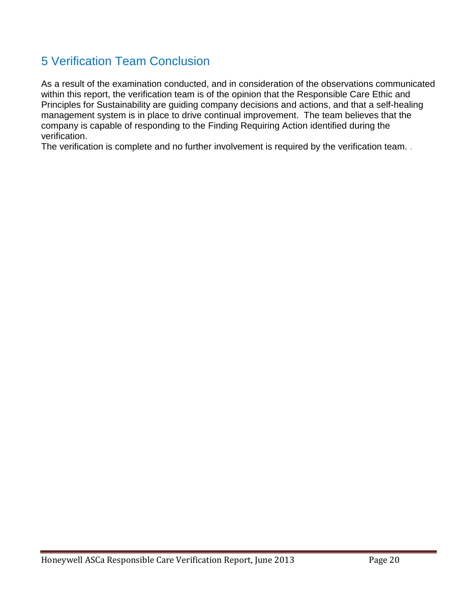## 5 Verification Team Conclusion

As a result of the examination conducted, and in consideration of the observations communicated within this report, the verification team is of the opinion that the Responsible Care Ethic and Principles for Sustainability are guiding company decisions and actions, and that a self-healing management system is in place to drive continual improvement. The team believes that the company is capable of responding to the Finding Requiring Action identified during the verification.

The verification is complete and no further involvement is required by the verification team...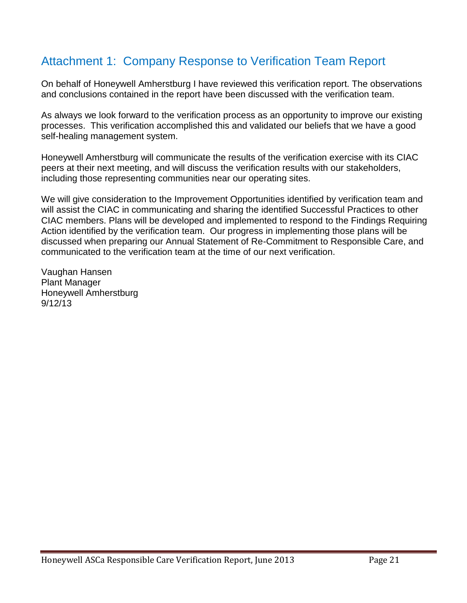## Attachment 1: Company Response to Verification Team Report

On behalf of Honeywell Amherstburg I have reviewed this verification report. The observations and conclusions contained in the report have been discussed with the verification team.

As always we look forward to the verification process as an opportunity to improve our existing processes. This verification accomplished this and validated our beliefs that we have a good self-healing management system.

Honeywell Amherstburg will communicate the results of the verification exercise with its CIAC peers at their next meeting, and will discuss the verification results with our stakeholders, including those representing communities near our operating sites.

We will give consideration to the Improvement Opportunities identified by verification team and will assist the CIAC in communicating and sharing the identified Successful Practices to other CIAC members. Plans will be developed and implemented to respond to the Findings Requiring Action identified by the verification team. Our progress in implementing those plans will be discussed when preparing our Annual Statement of Re-Commitment to Responsible Care, and communicated to the verification team at the time of our next verification.

Vaughan Hansen Plant Manager Honeywell Amherstburg 9/12/13